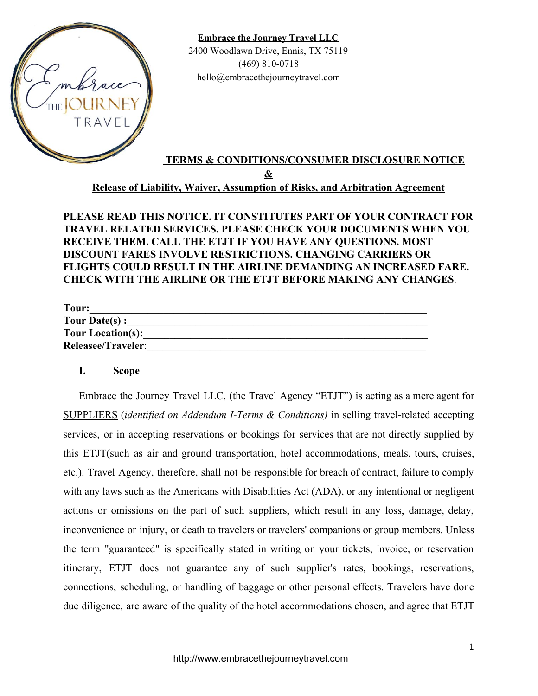

**Embrace the Journey Travel LLC** 2400 Woodlawn Drive, Ennis, TX 75119 (469) 810-0718 hello@embracethejourneytravel.com

# **TERMS & CONDITIONS/CONSUMER DISCLOSURE NOTICE & Release of Liability, Waiver, Assumption of Risks, and Arbitration Agreement**

**PLEASE READ THIS NOTICE. IT CONSTITUTES PART OF YOUR CONTRACT FOR TRAVEL RELATED SERVICES. PLEASE CHECK YOUR DOCUMENTS WHEN YOU RECEIVE THEM. CALL THE ETJT IF YOU HAVE ANY QUESTIONS. MOST DISCOUNT FARES INVOLVE RESTRICTIONS. CHANGING CARRIERS OR FLIGHTS COULD RESULT IN THE AIRLINE DEMANDING AN INCREASED FARE. CHECK WITH THE AIRLINE OR THE ETJT BEFORE MAKING ANY CHANGES**.

| Tour:                     |  |
|---------------------------|--|
| Tour Date(s) :            |  |
| <b>Tour Location(s):</b>  |  |
| <b>Releasee/Traveler:</b> |  |

### **I. Scope**

Embrace the Journey Travel LLC, (the Travel Agency "ETJT") is acting as a mere agent for SUPPLIERS (*identified on Addendum I-Terms & Conditions)* in selling travel-related accepting services, or in accepting reservations or bookings for services that are not directly supplied by this ETJT(such as air and ground transportation, hotel accommodations, meals, tours, cruises, etc.). Travel Agency, therefore, shall not be responsible for breach of contract, failure to comply with any laws such as the Americans with Disabilities Act (ADA), or any intentional or negligent actions or omissions on the part of such suppliers, which result in any loss, damage, delay, inconvenience or injury, or death to travelers or travelers' companions or group members. Unless the term "guaranteed" is specifically stated in writing on your tickets, invoice, or reservation itinerary, ETJT does not guarantee any of such supplier's rates, bookings, reservations, connections, scheduling, or handling of baggage or other personal effects. Travelers have done due diligence, are aware of the quality of the hotel accommodations chosen, and agree that ETJT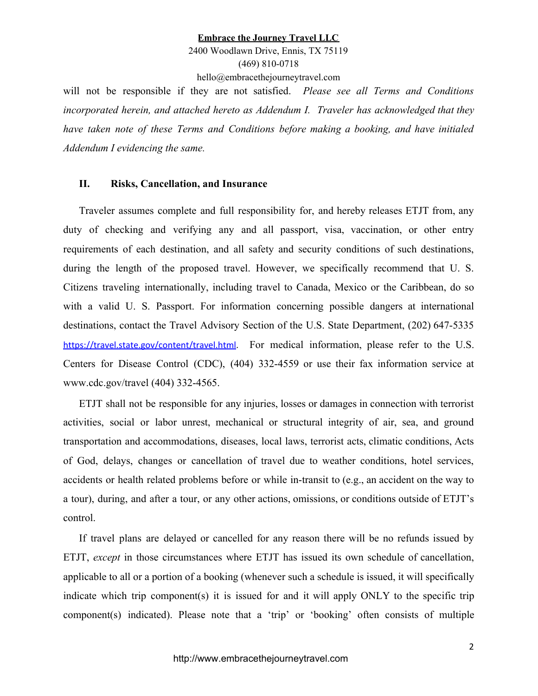2400 Woodlawn Drive, Ennis, TX 75119 (469) 810-0718

hello@embracethejourneytravel.com

will not be responsible if they are not satisfied. *Please see all Terms and Conditions incorporated herein, and attached hereto as Addendum I. Traveler has acknowledged that they have taken note of these Terms and Conditions before making a booking, and have initialed Addendum I evidencing the same.*

#### **II. Risks, Cancellation, and Insurance**

Traveler assumes complete and full responsibility for, and hereby releases ETJT from, any duty of checking and verifying any and all passport, visa, vaccination, or other entry requirements of each destination, and all safety and security conditions of such destinations, during the length of the proposed travel. However, we specifically recommend that U. S. Citizens traveling internationally, including travel to Canada, Mexico or the Caribbean, do so with a valid U. S. Passport. For information concerning possible dangers at international destinations, contact the Travel Advisory Section of the U.S. State Department, (202) 647-5335 <https://travel.state.gov/content/travel.html>. For medical information, please refer to the U.S. Centers for Disease Control (CDC), (404) 332-4559 or use their fax information service at www.cdc.gov/travel (404) 332-4565.

ETJT shall not be responsible for any injuries, losses or damages in connection with terrorist activities, social or labor unrest, mechanical or structural integrity of air, sea, and ground transportation and accommodations, diseases, local laws, terrorist acts, climatic conditions, Acts of God, delays, changes or cancellation of travel due to weather conditions, hotel services, accidents or health related problems before or while in-transit to (e.g., an accident on the way to a tour), during, and after a tour, or any other actions, omissions, or conditions outside of ETJT's control.

If travel plans are delayed or cancelled for any reason there will be no refunds issued by ETJT, *except* in those circumstances where ETJT has issued its own schedule of cancellation, applicable to all or a portion of a booking (whenever such a schedule is issued, it will specifically indicate which trip component(s) it is issued for and it will apply ONLY to the specific trip component(s) indicated). Please note that a 'trip' or 'booking' often consists of multiple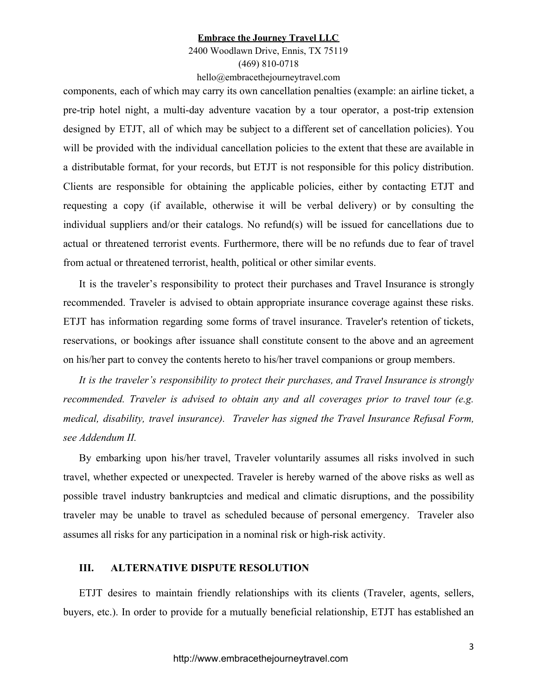### 2400 Woodlawn Drive, Ennis, TX 75119 (469) 810-0718 hello@embracethejourneytravel.com

components, each of which may carry its own cancellation penalties (example: an airline ticket, a pre-trip hotel night, a multi-day adventure vacation by a tour operator, a post-trip extension designed by ETJT, all of which may be subject to a different set of cancellation policies). You will be provided with the individual cancellation policies to the extent that these are available in a distributable format, for your records, but ETJT is not responsible for this policy distribution. Clients are responsible for obtaining the applicable policies, either by contacting ETJT and requesting a copy (if available, otherwise it will be verbal delivery) or by consulting the individual suppliers and/or their catalogs. No refund(s) will be issued for cancellations due to actual or threatened terrorist events. Furthermore, there will be no refunds due to fear of travel from actual or threatened terrorist, health, political or other similar events.

It is the traveler's responsibility to protect their purchases and Travel Insurance is strongly recommended. Traveler is advised to obtain appropriate insurance coverage against these risks. ETJT has information regarding some forms of travel insurance. Traveler's retention of tickets, reservations, or bookings after issuance shall constitute consent to the above and an agreement on his/her part to convey the contents hereto to his/her travel companions or group members.

*It is the traveler's responsibility to protect their purchases, and Travel Insurance is strongly recommended. Traveler is advised to obtain any and all coverages prior to travel tour (e.g. medical, disability, travel insurance). Traveler has signed the Travel Insurance Refusal Form, see Addendum II.*

By embarking upon his/her travel, Traveler voluntarily assumes all risks involved in such travel, whether expected or unexpected. Traveler is hereby warned of the above risks as well as possible travel industry bankruptcies and medical and climatic disruptions, and the possibility traveler may be unable to travel as scheduled because of personal emergency. Traveler also assumes all risks for any participation in a nominal risk or high-risk activity.

### **III. ALTERNATIVE DISPUTE RESOLUTION**

ETJT desires to maintain friendly relationships with its clients (Traveler, agents, sellers, buyers, etc.). In order to provide for a mutually beneficial relationship, ETJT has established an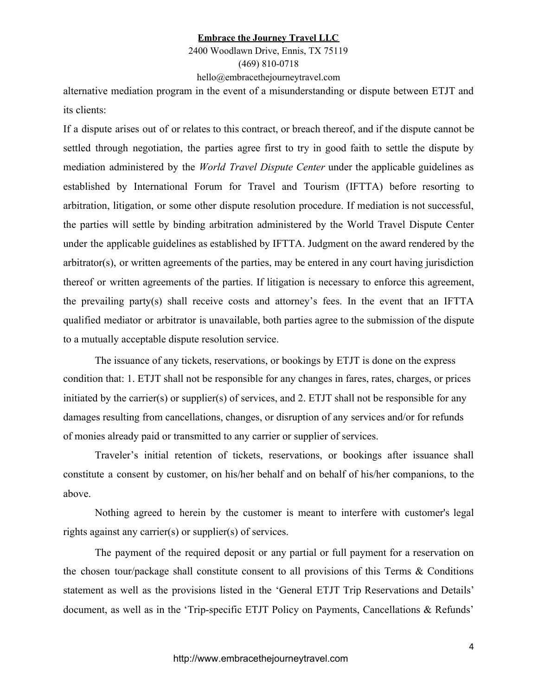2400 Woodlawn Drive, Ennis, TX 75119 (469) 810-0718 hello@embracethejourneytravel.com

alternative mediation program in the event of a misunderstanding or dispute between ETJT and its clients:

If a dispute arises out of or relates to this contract, or breach thereof, and if the dispute cannot be settled through negotiation, the parties agree first to try in good faith to settle the dispute by mediation administered by the *World Travel Dispute Center* under the applicable guidelines as established by International Forum for Travel and Tourism (IFTTA) before resorting to arbitration, litigation, or some other dispute resolution procedure. If mediation is not successful, the parties will settle by binding arbitration administered by the World Travel Dispute Center under the applicable guidelines as established by IFTTA. Judgment on the award rendered by the arbitrator(s), or written agreements of the parties, may be entered in any court having jurisdiction thereof or written agreements of the parties. If litigation is necessary to enforce this agreement, the prevailing party(s) shall receive costs and attorney's fees. In the event that an IFTTA qualified mediator or arbitrator is unavailable, both parties agree to the submission of the dispute to a mutually acceptable dispute resolution service.

The issuance of any tickets, reservations, or bookings by ETJT is done on the express condition that: 1. ETJT shall not be responsible for any changes in fares, rates, charges, or prices initiated by the carrier(s) or supplier(s) of services, and 2. ETJT shall not be responsible for any damages resulting from cancellations, changes, or disruption of any services and/or for refunds of monies already paid or transmitted to any carrier or supplier of services.

Traveler's initial retention of tickets, reservations, or bookings after issuance shall constitute a consent by customer, on his/her behalf and on behalf of his/her companions, to the above.

Nothing agreed to herein by the customer is meant to interfere with customer's legal rights against any carrier(s) or supplier(s) of services.

The payment of the required deposit or any partial or full payment for a reservation on the chosen tour/package shall constitute consent to all provisions of this Terms  $\&$  Conditions statement as well as the provisions listed in the 'General ETJT Trip Reservations and Details' document, as well as in the 'Trip-specific ETJT Policy on Payments, Cancellations & Refunds'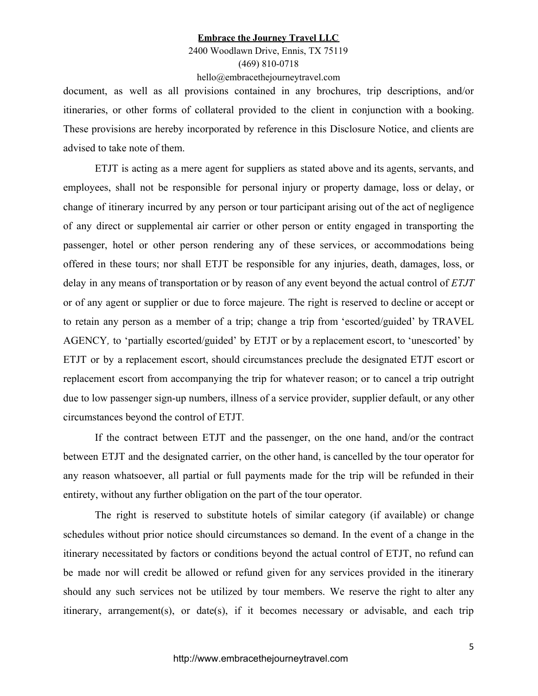2400 Woodlawn Drive, Ennis, TX 75119 (469) 810-0718 hello@embracethejourneytravel.com

document, as well as all provisions contained in any brochures, trip descriptions, and/or itineraries, or other forms of collateral provided to the client in conjunction with a booking. These provisions are hereby incorporated by reference in this Disclosure Notice, and clients are advised to take note of them.

ETJT is acting as a mere agent for suppliers as stated above and its agents, servants, and employees, shall not be responsible for personal injury or property damage, loss or delay, or change of itinerary incurred by any person or tour participant arising out of the act of negligence of any direct or supplemental air carrier or other person or entity engaged in transporting the passenger, hotel or other person rendering any of these services, or accommodations being offered in these tours; nor shall ETJT be responsible for any injuries, death, damages, loss, or delay in any means of transportation or by reason of any event beyond the actual control of *ETJT* or of any agent or supplier or due to force majeure. The right is reserved to decline or accept or to retain any person as a member of a trip; change a trip from 'escorted/guided' by TRAVEL AGENCY*,* to 'partially escorted/guided' by ETJT or by a replacement escort, to 'unescorted' by ETJT or by a replacement escort, should circumstances preclude the designated ETJT escort or replacement escort from accompanying the trip for whatever reason; or to cancel a trip outright due to low passenger sign-up numbers, illness of a service provider, supplier default, or any other circumstances beyond the control of ETJT*.*

If the contract between ETJT and the passenger, on the one hand, and/or the contract between ETJT and the designated carrier, on the other hand, is cancelled by the tour operator for any reason whatsoever, all partial or full payments made for the trip will be refunded in their entirety, without any further obligation on the part of the tour operator.

The right is reserved to substitute hotels of similar category (if available) or change schedules without prior notice should circumstances so demand. In the event of a change in the itinerary necessitated by factors or conditions beyond the actual control of ETJT, no refund can be made nor will credit be allowed or refund given for any services provided in the itinerary should any such services not be utilized by tour members. We reserve the right to alter any itinerary, arrangement(s), or date(s), if it becomes necessary or advisable, and each trip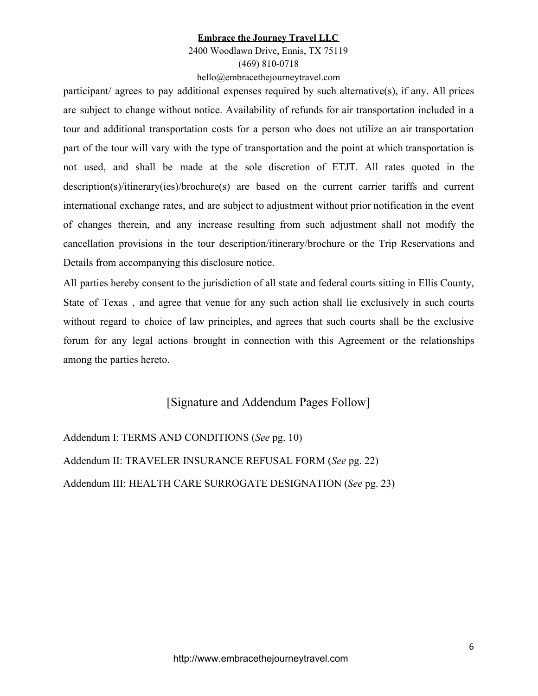# 2400 Woodlawn Drive, Ennis, TX 75119 (469) 810-0718 hello@embracethejourneytravel.com

participant/ agrees to pay additional expenses required by such alternative(s), if any. All prices are subject to change without notice. Availability of refunds for air transportation included in a tour and additional transportation costs for a person who does not utilize an air transportation part of the tour will vary with the type of transportation and the point at which transportation is not used, and shall be made at the sole discretion of ETJT*.* All rates quoted in the description(s)/itinerary(ies)/brochure(s) are based on the current carrier tariffs and current international exchange rates, and are subject to adjustment without prior notification in the event of changes therein, and any increase resulting from such adjustment shall not modify the cancellation provisions in the tour description/itinerary/brochure or the Trip Reservations and Details from accompanying this disclosure notice.

All parties hereby consent to the jurisdiction of all state and federal courts sitting in Ellis County, State of Texas , and agree that venue for any such action shall lie exclusively in such courts without regard to choice of law principles, and agrees that such courts shall be the exclusive forum for any legal actions brought in connection with this Agreement or the relationships among the parties hereto.

# [Signature and Addendum Pages Follow]

Addendum I: TERMS AND CONDITIONS (*See* pg. 10) Addendum II: TRAVELER INSURANCE REFUSAL FORM (*See* pg. 22) Addendum III: HEALTH CARE SURROGATE DESIGNATION (*See* pg. 23)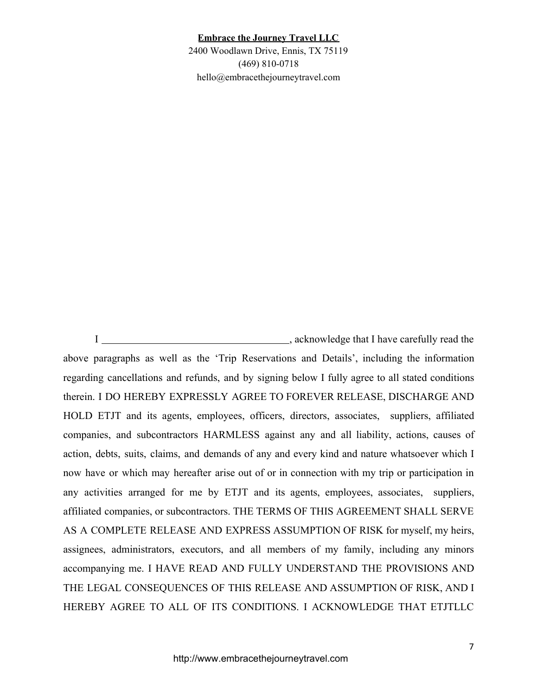2400 Woodlawn Drive, Ennis, TX 75119 (469) 810-0718 hello@embracethejourneytravel.com

I , acknowledge that I have carefully read the above paragraphs as well as the 'Trip Reservations and Details', including the information regarding cancellations and refunds, and by signing below I fully agree to all stated conditions therein. I DO HEREBY EXPRESSLY AGREE TO FOREVER RELEASE, DISCHARGE AND HOLD ETJT and its agents, employees, officers, directors, associates, suppliers, affiliated companies, and subcontractors HARMLESS against any and all liability, actions, causes of action, debts, suits, claims, and demands of any and every kind and nature whatsoever which I now have or which may hereafter arise out of or in connection with my trip or participation in any activities arranged for me by ETJT and its agents, employees, associates, suppliers, affiliated companies, or subcontractors. THE TERMS OF THIS AGREEMENT SHALL SERVE AS A COMPLETE RELEASE AND EXPRESS ASSUMPTION OF RISK for myself, my heirs, assignees, administrators, executors, and all members of my family, including any minors accompanying me. I HAVE READ AND FULLY UNDERSTAND THE PROVISIONS AND THE LEGAL CONSEQUENCES OF THIS RELEASE AND ASSUMPTION OF RISK, AND I HEREBY AGREE TO ALL OF ITS CONDITIONS. I ACKNOWLEDGE THAT ETJTLLC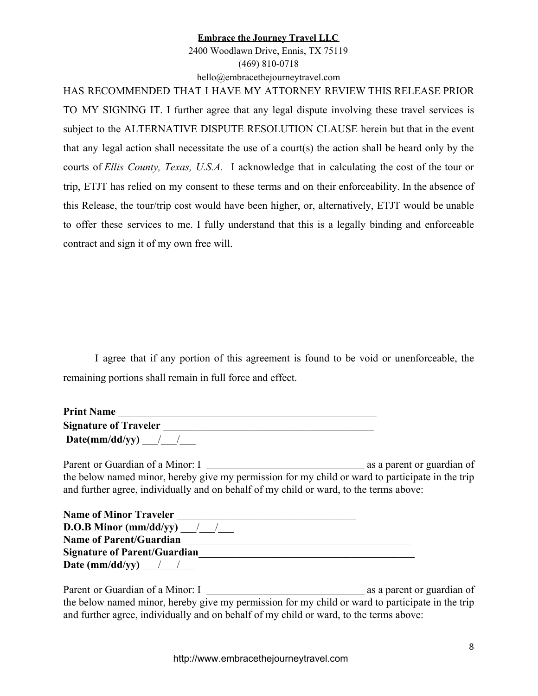2400 Woodlawn Drive, Ennis, TX 75119 (469) 810-0718 hello@embracethejourneytravel.com

HAS RECOMMENDED THAT I HAVE MY ATTORNEY REVIEW THIS RELEASE PRIOR TO MY SIGNING IT. I further agree that any legal dispute involving these travel services is subject to the ALTERNATIVE DISPUTE RESOLUTION CLAUSE herein but that in the event that any legal action shall necessitate the use of a court(s) the action shall be heard only by the courts of *Ellis County, Texas, U.S.A.* I acknowledge that in calculating the cost of the tour or trip, ETJT has relied on my consent to these terms and on their enforceability. In the absence of this Release, the tour/trip cost would have been higher, or, alternatively, ETJT would be unable to offer these services to me. I fully understand that this is a legally binding and enforceable contract and sign it of my own free will.

I agree that if any portion of this agreement is found to be void or unenforceable, the remaining portions shall remain in full force and effect.

| <b>Print Name</b>            |  |
|------------------------------|--|
| <b>Signature of Traveler</b> |  |
| $Date(mm/dd/yy)$ / /         |  |

Parent or Guardian of a Minor: I as a parent or guardian of the below named minor, hereby give my permission for my child or ward to participate in the trip and further agree, individually and on behalf of my child or ward, to the terms above:

| <b>Name of Minor Traveler</b>       |  |
|-------------------------------------|--|
| <b>D.O.B Minor (mm/dd/yy)</b> / /   |  |
| <b>Name of Parent/Guardian</b>      |  |
| <b>Signature of Parent/Guardian</b> |  |
| Date (mm/dd/yy) $\frac{1}{2}$       |  |

Parent or Guardian of a Minor: I as a parent or guardian of the below named minor, hereby give my permission for my child or ward to participate in the trip and further agree, individually and on behalf of my child or ward, to the terms above: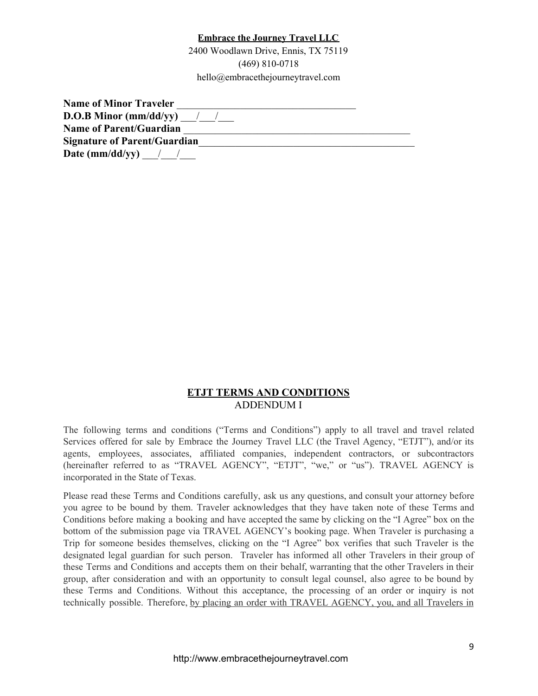2400 Woodlawn Drive, Ennis, TX 75119 (469) 810-0718 hello@embracethejourneytravel.com

| <b>Name of Minor Traveler</b>       |  |
|-------------------------------------|--|
| <b>D.O.B Minor (mm/dd/yy)</b> / /   |  |
| <b>Name of Parent/Guardian</b>      |  |
| <b>Signature of Parent/Guardian</b> |  |
| Date (mm/dd/yy) $\frac{1}{2}$       |  |

## **ETJT TERMS AND CONDITIONS** ADDENDUM I

The following terms and conditions ("Terms and Conditions") apply to all travel and travel related Services offered for sale by Embrace the Journey Travel LLC (the Travel Agency, "ETJT"), and/or its agents, employees, associates, affiliated companies, independent contractors, or subcontractors (hereinafter referred to as "TRAVEL AGENCY", "ETJT", "we," or "us"). TRAVEL AGENCY is incorporated in the State of Texas.

Please read these Terms and Conditions carefully, ask us any questions, and consult your attorney before you agree to be bound by them. Traveler acknowledges that they have taken note of these Terms and Conditions before making a booking and have accepted the same by clicking on the "I Agree" box on the bottom of the submission page via TRAVEL AGENCY's booking page. When Traveler is purchasing a Trip for someone besides themselves, clicking on the "I Agree" box verifies that such Traveler is the designated legal guardian for such person. Traveler has informed all other Travelers in their group of these Terms and Conditions and accepts them on their behalf, warranting that the other Travelers in their group, after consideration and with an opportunity to consult legal counsel, also agree to be bound by these Terms and Conditions. Without this acceptance, the processing of an order or inquiry is not technically possible. Therefore, by placing an order with TRAVEL AGENCY, you, and all Travelers in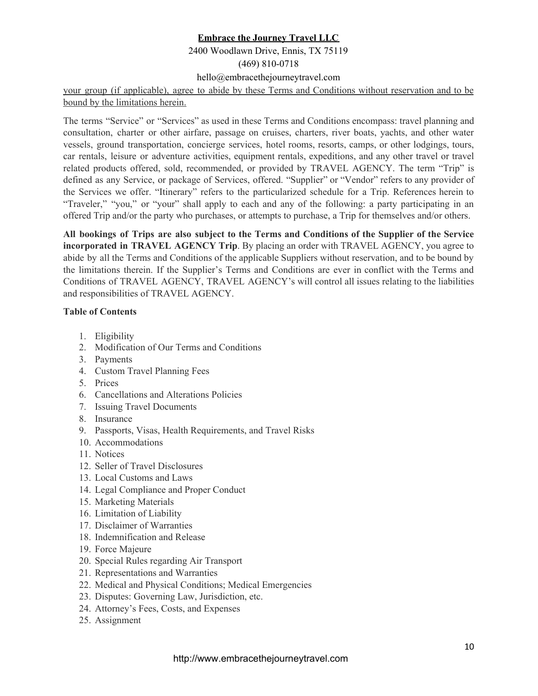## 2400 Woodlawn Drive, Ennis, TX 75119

(469) 810-0718

hello@embracethejourneytravel.com

your group (if applicable), agree to abide by these Terms and Conditions without reservation and to be bound by the limitations herein.

The terms "Service" or "Services" as used in these Terms and Conditions encompass: travel planning and consultation, charter or other airfare, passage on cruises, charters, river boats, yachts, and other water vessels, ground transportation, concierge services, hotel rooms, resorts, camps, or other lodgings, tours, car rentals, leisure or adventure activities, equipment rentals, expeditions, and any other travel or travel related products offered, sold, recommended, or provided by TRAVEL AGENCY. The term "Trip" is defined as any Service, or package of Services, offered. "Supplier" or "Vendor" refers to any provider of the Services we offer. "Itinerary" refers to the particularized schedule for a Trip. References herein to "Traveler," "you," or "your" shall apply to each and any of the following: a party participating in an offered Trip and/or the party who purchases, or attempts to purchase, a Trip for themselves and/or others.

**All bookings of Trips are also subject to the Terms and Conditions of the Supplier of the Service incorporated in TRAVEL AGENCY Trip**. By placing an order with TRAVEL AGENCY, you agree to abide by all the Terms and Conditions of the applicable Suppliers without reservation, and to be bound by the limitations therein. If the Supplier's Terms and Conditions are ever in conflict with the Terms and Conditions of TRAVEL AGENCY, TRAVEL AGENCY's will control all issues relating to the liabilities and responsibilities of TRAVEL AGENCY.

#### **Table of Contents**

- 1. Eligibility
- 2. Modification of Our Terms and Conditions
- 3. Payments
- 4. Custom Travel Planning Fees
- 5. Prices
- 6. Cancellations and Alterations Policies
- 7. Issuing Travel Documents
- 8. Insurance
- 9. Passports, Visas, Health Requirements, and Travel Risks
- 10. Accommodations
- 11. Notices
- 12. Seller of Travel Disclosures
- 13. Local Customs and Laws
- 14. Legal Compliance and Proper Conduct
- 15. Marketing Materials
- 16. Limitation of Liability
- 17. Disclaimer of Warranties
- 18. Indemnification and Release
- 19. Force Majeure
- 20. Special Rules regarding Air Transport
- 21. Representations and Warranties
- 22. Medical and Physical Conditions; Medical Emergencies
- 23. Disputes: Governing Law, Jurisdiction, etc.
- 24. Attorney's Fees, Costs, and Expenses
- 25. Assignment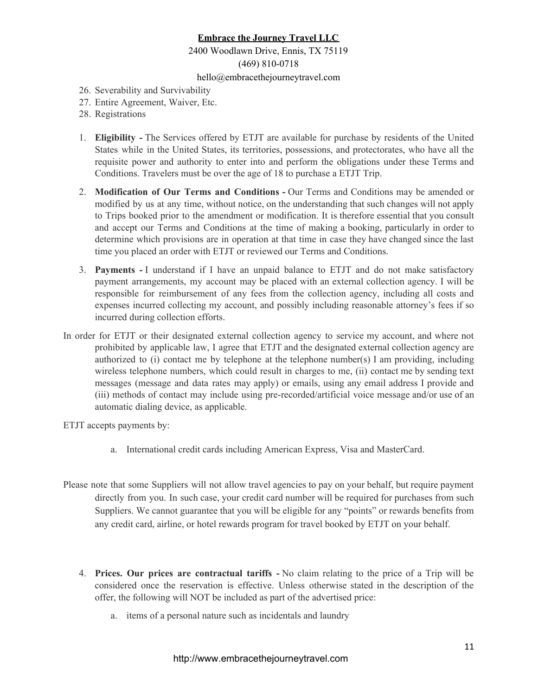### 2400 Woodlawn Drive, Ennis, TX 75119 (469) 810-0718

### hello@embracethejourneytravel.com

- 26. Severability and Survivability
- 27. Entire Agreement, Waiver, Etc.
- 28. Registrations
- 1. **Eligibility -** The Services offered by ETJT are available for purchase by residents of the United States while in the United States, its territories, possessions, and protectorates, who have all the requisite power and authority to enter into and perform the obligations under these Terms and Conditions. Travelers must be over the age of 18 to purchase a ETJT Trip.
- 2. **Modification of Our Terms and Conditions -** Our Terms and Conditions may be amended or modified by us at any time, without notice, on the understanding that such changes will not apply to Trips booked prior to the amendment or modification. It is therefore essential that you consult and accept our Terms and Conditions at the time of making a booking, particularly in order to determine which provisions are in operation at that time in case they have changed since the last time you placed an order with ETJT or reviewed our Terms and Conditions.
- 3. **Payments -** I understand if I have an unpaid balance to ETJT and do not make satisfactory payment arrangements, my account may be placed with an external collection agency. I will be responsible for reimbursement of any fees from the collection agency, including all costs and expenses incurred collecting my account, and possibly including reasonable attorney's fees if so incurred during collection efforts.
- In order for ETJT or their designated external collection agency to service my account, and where not prohibited by applicable law, I agree that ETJT and the designated external collection agency are authorized to (i) contact me by telephone at the telephone number(s) I am providing, including wireless telephone numbers, which could result in charges to me, (ii) contact me by sending text messages (message and data rates may apply) or emails, using any email address I provide and (iii) methods of contact may include using pre-recorded/artificial voice message and/or use of an automatic dialing device, as applicable.

ETJT accepts payments by:

- a. International credit cards including American Express, Visa and MasterCard.
- Please note that some Suppliers will not allow travel agencies to pay on your behalf, but require payment directly from you. In such case, your credit card number will be required for purchases from such Suppliers. We cannot guarantee that you will be eligible for any "points" or rewards benefits from any credit card, airline, or hotel rewards program for travel booked by ETJT on your behalf.
	- 4. **Prices. Our prices are contractual tariffs -** No claim relating to the price of a Trip will be considered once the reservation is effective. Unless otherwise stated in the description of the offer, the following will NOT be included as part of the advertised price:
		- a. items of a personal nature such as incidentals and laundry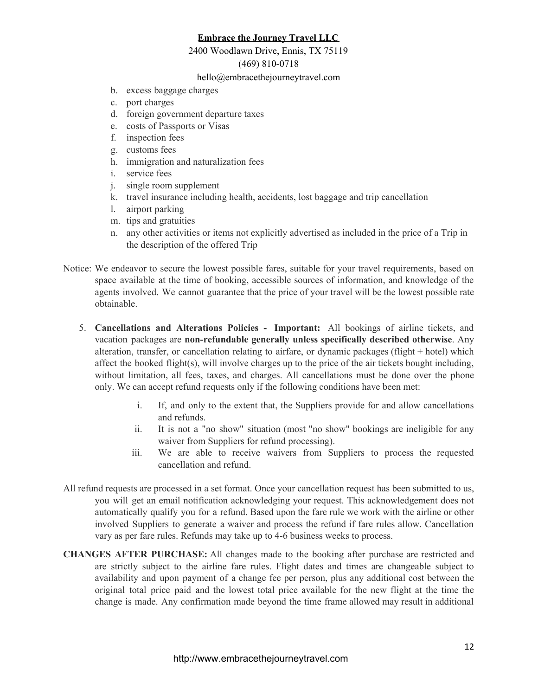#### 2400 Woodlawn Drive, Ennis, TX 75119

### (469) 810-0718

#### hello@embracethejourneytravel.com

- b. excess baggage charges
- c. port charges
- d. foreign government departure taxes
- e. costs of Passports or Visas
- f. inspection fees
- g. customs fees
- h. immigration and naturalization fees
- i. service fees
- j. single room supplement
- k. travel insurance including health, accidents, lost baggage and trip cancellation
- l. airport parking
- m. tips and gratuities
- n. any other activities or items not explicitly advertised as included in the price of a Trip in the description of the offered Trip
- Notice: We endeavor to secure the lowest possible fares, suitable for your travel requirements, based on space available at the time of booking, accessible sources of information, and knowledge of the agents involved. We cannot guarantee that the price of your travel will be the lowest possible rate obtainable.
	- 5. **Cancellations and Alterations Policies - Important:** All bookings of airline tickets, and vacation packages are **non-refundable generally unless specifically described otherwise**. Any alteration, transfer, or cancellation relating to airfare, or dynamic packages (flight + hotel) which affect the booked flight(s), will involve charges up to the price of the air tickets bought including, without limitation, all fees, taxes, and charges. All cancellations must be done over the phone only. We can accept refund requests only if the following conditions have been met:
		- i. If, and only to the extent that, the Suppliers provide for and allow cancellations and refunds.
		- ii. It is not a "no show" situation (most "no show" bookings are ineligible for any waiver from Suppliers for refund processing).
		- iii. We are able to receive waivers from Suppliers to process the requested cancellation and refund.
- All refund requests are processed in a set format. Once your cancellation request has been submitted to us, you will get an email notification acknowledging your request. This acknowledgement does not automatically qualify you for a refund. Based upon the fare rule we work with the airline or other involved Suppliers to generate a waiver and process the refund if fare rules allow. Cancellation vary as per fare rules. Refunds may take up to 4-6 business weeks to process.
- **CHANGES AFTER PURCHASE:** All changes made to the booking after purchase are restricted and are strictly subject to the airline fare rules. Flight dates and times are changeable subject to availability and upon payment of a change fee per person, plus any additional cost between the original total price paid and the lowest total price available for the new flight at the time the change is made. Any confirmation made beyond the time frame allowed may result in additional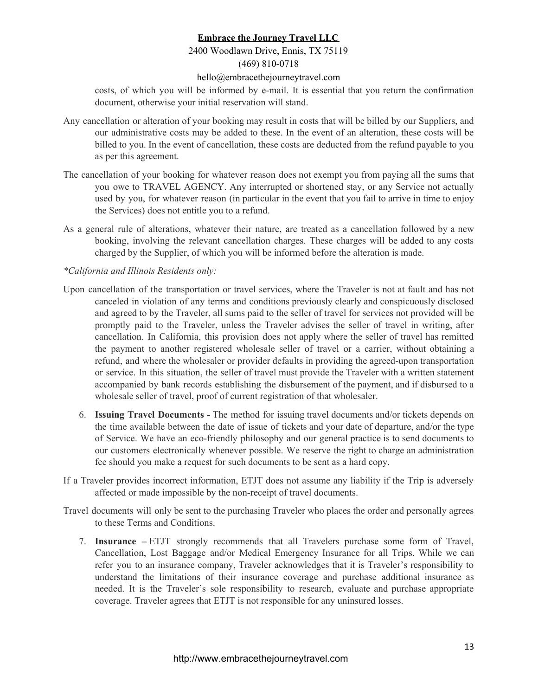# 2400 Woodlawn Drive, Ennis, TX 75119

# (469) 810-0718

#### hello@embracethejourneytravel.com

costs, of which you will be informed by e-mail. It is essential that you return the confirmation document, otherwise your initial reservation will stand.

- Any cancellation or alteration of your booking may result in costs that will be billed by our Suppliers, and our administrative costs may be added to these. In the event of an alteration, these costs will be billed to you. In the event of cancellation, these costs are deducted from the refund payable to you as per this agreement.
- The cancellation of your booking for whatever reason does not exempt you from paying all the sums that you owe to TRAVEL AGENCY. Any interrupted or shortened stay, or any Service not actually used by you, for whatever reason (in particular in the event that you fail to arrive in time to enjoy the Services) does not entitle you to a refund.
- As a general rule of alterations, whatever their nature, are treated as a cancellation followed by a new booking, involving the relevant cancellation charges. These charges will be added to any costs charged by the Supplier, of which you will be informed before the alteration is made.

### *\*California and Illinois Residents only:*

- Upon cancellation of the transportation or travel services, where the Traveler is not at fault and has not canceled in violation of any terms and conditions previously clearly and conspicuously disclosed and agreed to by the Traveler, all sums paid to the seller of travel for services not provided will be promptly paid to the Traveler, unless the Traveler advises the seller of travel in writing, after cancellation. In California, this provision does not apply where the seller of travel has remitted the payment to another registered wholesale seller of travel or a carrier, without obtaining a refund, and where the wholesaler or provider defaults in providing the agreed-upon transportation or service. In this situation, the seller of travel must provide the Traveler with a written statement accompanied by bank records establishing the disbursement of the payment, and if disbursed to a wholesale seller of travel, proof of current registration of that wholesaler.
	- 6. **Issuing Travel Documents -** The method for issuing travel documents and/or tickets depends on the time available between the date of issue of tickets and your date of departure, and/or the type of Service. We have an eco-friendly philosophy and our general practice is to send documents to our customers electronically whenever possible. We reserve the right to charge an administration fee should you make a request for such documents to be sent as a hard copy.
- If a Traveler provides incorrect information, ETJT does not assume any liability if the Trip is adversely affected or made impossible by the non-receipt of travel documents.

Travel documents will only be sent to the purchasing Traveler who places the order and personally agrees to these Terms and Conditions.

7. **Insurance –** ETJT strongly recommends that all Travelers purchase some form of Travel, Cancellation, Lost Baggage and/or Medical Emergency Insurance for all Trips. While we can refer you to an insurance company, Traveler acknowledges that it is Traveler's responsibility to understand the limitations of their insurance coverage and purchase additional insurance as needed. It is the Traveler's sole responsibility to research, evaluate and purchase appropriate coverage. Traveler agrees that ETJT is not responsible for any uninsured losses.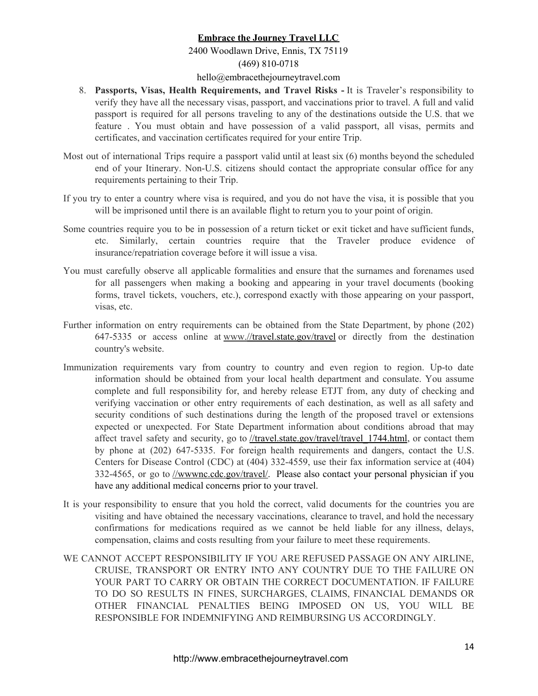# 2400 Woodlawn Drive, Ennis, TX 75119 (469) 810-0718

#### hello@embracethejourneytravel.com

- 8. **Passports, Visas, Health Requirements, and Travel Risks -** It is Traveler's responsibility to verify they have all the necessary visas, passport, and vaccinations prior to travel. A full and valid passport is required for all persons traveling to any of the destinations outside the U.S. that we feature . You must obtain and have possession of a valid passport, all visas, permits and certificates, and vaccination certificates required for your entire Trip.
- Most out of international Trips require a passport valid until at least six (6) months beyond the scheduled end of your Itinerary. Non-U.S. citizens should contact the appropriate consular office for any requirements pertaining to their Trip.
- If you try to enter a country where visa is required, and you do not have the visa, it is possible that you will be imprisoned until there is an available flight to return you to your point of origin.
- Some countries require you to be in possession of a return ticket or exit ticket and have sufficient funds, etc. Similarly, certain countries require that the Traveler produce evidence of insurance/repatriation coverage before it will issue a visa.
- You must carefully observe all applicable formalities and ensure that the surnames and forenames used for all passengers when making a booking and appearing in your travel documents (booking forms, travel tickets, vouchers, etc.), correspond exactly with those appearing on your passport, visas, etc.
- Further information on entry requirements can be obtained from the State Department, by phone (202) 647-5335 or access online at www.//travel.state.gov/travel or directly from the destination country's website.
- Immunization requirements vary from country to country and even region to region. Up-to date information should be obtained from your local health department and consulate. You assume complete and full responsibility for, and hereby release ETJT from, any duty of checking and verifying vaccination or other entry requirements of each destination, as well as all safety and security conditions of such destinations during the length of the proposed travel or extensions expected or unexpected. For State Department information about conditions abroad that may affect travel safety and security, go to [//travel.state.gov/travel/travel\\_1744.html,](https://travel.state.gov/travel/travel_1744.html) or contact them by phone at (202) 647-5335. For foreign health requirements and dangers, contact the U.S. Centers for Disease Control (CDC) at (404) 332-4559, use their fax information service at (404) 332-4565, or go to *[//wwwnc.cdc.gov/travel/.](https://wwwnc.cdc.gov/travel/)* Please also contact your personal physician if you have any additional medical concerns prior to your travel.
- It is your responsibility to ensure that you hold the correct, valid documents for the countries you are visiting and have obtained the necessary vaccinations, clearance to travel, and hold the necessary confirmations for medications required as we cannot be held liable for any illness, delays, compensation, claims and costs resulting from your failure to meet these requirements.
- WE CANNOT ACCEPT RESPONSIBILITY IF YOU ARE REFUSED PASSAGE ON ANY AIRLINE, CRUISE, TRANSPORT OR ENTRY INTO ANY COUNTRY DUE TO THE FAILURE ON YOUR PART TO CARRY OR OBTAIN THE CORRECT DOCUMENTATION. IF FAILURE TO DO SO RESULTS IN FINES, SURCHARGES, CLAIMS, FINANCIAL DEMANDS OR OTHER FINANCIAL PENALTIES BEING IMPOSED ON US, YOU WILL BE RESPONSIBLE FOR INDEMNIFYING AND REIMBURSING US ACCORDINGLY.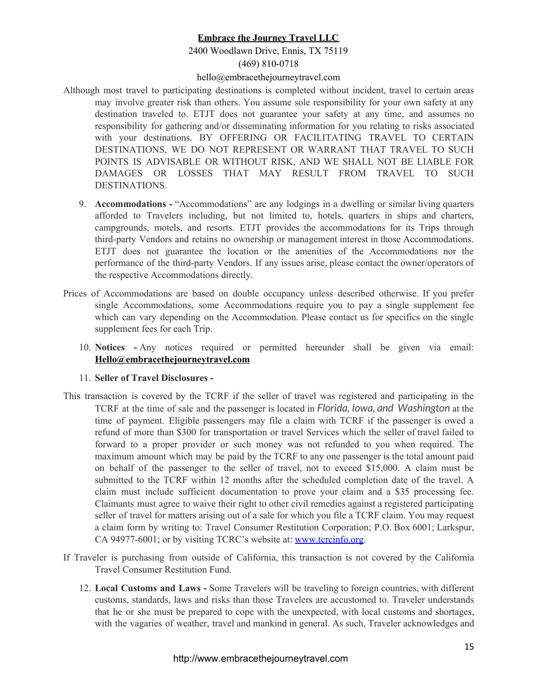# 2400 Woodlawn Drive, Ennis, TX 75119

### (469) 810-0718

#### hello@embracethejourneytravel.com

- Although most travel to participating destinations is completed without incident, travel to certain areas may involve greater risk than others. You assume sole responsibility for your own safety at any destination traveled to. ETJT does not guarantee your safety at any time, and assumes no responsibility for gathering and/or disseminating information for you relating to risks associated with your destinations. BY OFFERING OR FACILITATING TRAVEL TO CERTAIN DESTINATIONS, WE DO NOT REPRESENT OR WARRANT THAT TRAVEL TO SUCH POINTS IS ADVISABLE OR WITHOUT RISK, AND WE SHALL NOT BE LIABLE FOR DAMAGES OR LOSSES THAT MAY RESULT FROM TRAVEL TO SUCH DESTINATIONS.
	- 9. **Accommodations -** "Accommodations" are any lodgings in a dwelling or similar living quarters afforded to Travelers including, but not limited to, hotels, quarters in ships and charters, campgrounds, motels, and resorts. ETJT provides the accommodations for its Trips through third-party Vendors and retains no ownership or management interest in those Accommodations. ETJT does not guarantee the location or the amenities of the Accommodations nor the performance of the third-party Vendors. If any issues arise, please contact the owner/operators of the respective Accommodations directly.
- Prices of Accommodations are based on double occupancy unless described otherwise. If you prefer single Accommodations, some Accommodations require you to pay a single supplement fee which can vary depending on the Accommodation. Please contact us for specifics on the single supplement fees for each Trip.
	- 10. **Notices -** Any notices required or permitted hereunder shall be given via email: **[Hello@embracethejourneytravel.com](mailto:Hello@embracethejourneytravel.com)**

#### 11. **Seller of Travel Disclosures -**

- This transaction is covered by the TCRF if the seller of travel was registered and participating in the TCRF at the time of sale and the passenger is located in *Florida, Iowa, and Washington* at the time of payment. Eligible passengers may file a claim with TCRF if the passenger is owed a refund of more than \$300 for transportation or travel Services which the seller of travel failed to forward to a proper provider or such money was not refunded to you when required. The maximum amount which may be paid by the TCRF to any one passenger is the total amount paid on behalf of the passenger to the seller of travel, not to exceed \$15,000. A claim must be submitted to the TCRF within 12 months after the scheduled completion date of the travel. A claim must include sufficient documentation to prove your claim and a \$35 processing fee. Claimants must agree to waive their right to other civil remedies against a registered participating seller of travel for matters arising out of a sale for which you file a TCRF claim. You may request a claim form by writing to: Travel Consumer Restitution Corporation; P.O. Box 6001; Larkspur, CA 94977-6001; or by visiting TCRC's website at: [www.tcrcinfo.org.](http://www.tcrcinfo.org/)
- If Traveler is purchasing from outside of California, this transaction is not covered by the California Travel Consumer Restitution Fund.
	- 12. **Local Customs and Laws -** Some Travelers will be traveling to foreign countries, with different customs, standards, laws and risks than those Travelers are accustomed to. Traveler understands that he or she must be prepared to cope with the unexpected, with local customs and shortages, with the vagaries of weather, travel and mankind in general. As such, Traveler acknowledges and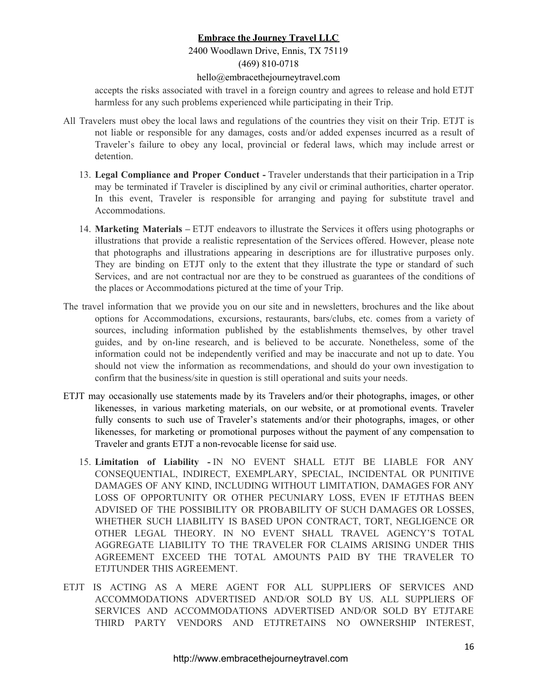#### 2400 Woodlawn Drive, Ennis, TX 75119 (469) 810-0718

#### hello@embracethejourneytravel.com

accepts the risks associated with travel in a foreign country and agrees to release and hold ETJT harmless for any such problems experienced while participating in their Trip.

- All Travelers must obey the local laws and regulations of the countries they visit on their Trip. ETJT is not liable or responsible for any damages, costs and/or added expenses incurred as a result of Traveler's failure to obey any local, provincial or federal laws, which may include arrest or detention.
	- 13. **Legal Compliance and Proper Conduct -** Traveler understands that their participation in a Trip may be terminated if Traveler is disciplined by any civil or criminal authorities, charter operator. In this event, Traveler is responsible for arranging and paying for substitute travel and Accommodations.
	- 14. **Marketing Materials –** ETJT endeavors to illustrate the Services it offers using photographs or illustrations that provide a realistic representation of the Services offered. However, please note that photographs and illustrations appearing in descriptions are for illustrative purposes only. They are binding on ETJT only to the extent that they illustrate the type or standard of such Services, and are not contractual nor are they to be construed as guarantees of the conditions of the places or Accommodations pictured at the time of your Trip.
- The travel information that we provide you on our site and in newsletters, brochures and the like about options for Accommodations, excursions, restaurants, bars/clubs, etc. comes from a variety of sources, including information published by the establishments themselves, by other travel guides, and by on-line research, and is believed to be accurate. Nonetheless, some of the information could not be independently verified and may be inaccurate and not up to date. You should not view the information as recommendations, and should do your own investigation to confirm that the business/site in question is still operational and suits your needs.
- ETJT may occasionally use statements made by its Travelers and/or their photographs, images, or other likenesses, in various marketing materials, on our website, or at promotional events. Traveler fully consents to such use of Traveler's statements and/or their photographs, images, or other likenesses, for marketing or promotional purposes without the payment of any compensation to Traveler and grants ETJT a non-revocable license for said use.
	- 15. **Limitation of Liability -** IN NO EVENT SHALL ETJT BE LIABLE FOR ANY CONSEQUENTIAL, INDIRECT, EXEMPLARY, SPECIAL, INCIDENTAL OR PUNITIVE DAMAGES OF ANY KIND, INCLUDING WITHOUT LIMITATION, DAMAGES FOR ANY LOSS OF OPPORTUNITY OR OTHER PECUNIARY LOSS, EVEN IF ETJTHAS BEEN ADVISED OF THE POSSIBILITY OR PROBABILITY OF SUCH DAMAGES OR LOSSES, WHETHER SUCH LIABILITY IS BASED UPON CONTRACT, TORT, NEGLIGENCE OR OTHER LEGAL THEORY. IN NO EVENT SHALL TRAVEL AGENCY'S TOTAL AGGREGATE LIABILITY TO THE TRAVELER FOR CLAIMS ARISING UNDER THIS AGREEMENT EXCEED THE TOTAL AMOUNTS PAID BY THE TRAVELER TO ETJTUNDER THIS AGREEMENT.
- ETJT IS ACTING AS A MERE AGENT FOR ALL SUPPLIERS OF SERVICES AND ACCOMMODATIONS ADVERTISED AND/OR SOLD BY US. ALL SUPPLIERS OF SERVICES AND ACCOMMODATIONS ADVERTISED AND/OR SOLD BY ETJTARE THIRD PARTY VENDORS AND ETJTRETAINS NO OWNERSHIP INTEREST,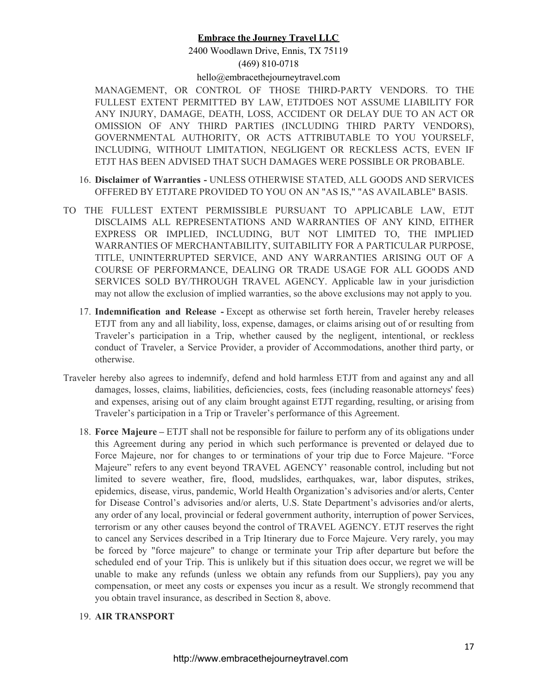# 2400 Woodlawn Drive, Ennis, TX 75119 (469) 810-0718

#### hello@embracethejourneytravel.com

MANAGEMENT, OR CONTROL OF THOSE THIRD-PARTY VENDORS. TO THE FULLEST EXTENT PERMITTED BY LAW, ETJTDOES NOT ASSUME LIABILITY FOR ANY INJURY, DAMAGE, DEATH, LOSS, ACCIDENT OR DELAY DUE TO AN ACT OR OMISSION OF ANY THIRD PARTIES (INCLUDING THIRD PARTY VENDORS), GOVERNMENTAL AUTHORITY, OR ACTS ATTRIBUTABLE TO YOU YOURSELF, INCLUDING, WITHOUT LIMITATION, NEGLIGENT OR RECKLESS ACTS, EVEN IF ETJT HAS BEEN ADVISED THAT SUCH DAMAGES WERE POSSIBLE OR PROBABLE.

- 16. **Disclaimer of Warranties -** UNLESS OTHERWISE STATED, ALL GOODS AND SERVICES OFFERED BY ETJTARE PROVIDED TO YOU ON AN "AS IS," "AS AVAILABLE" BASIS.
- TO THE FULLEST EXTENT PERMISSIBLE PURSUANT TO APPLICABLE LAW, ETJT DISCLAIMS ALL REPRESENTATIONS AND WARRANTIES OF ANY KIND, EITHER EXPRESS OR IMPLIED, INCLUDING, BUT NOT LIMITED TO, THE IMPLIED WARRANTIES OF MERCHANTABILITY, SUITABILITY FOR A PARTICULAR PURPOSE, TITLE, UNINTERRUPTED SERVICE, AND ANY WARRANTIES ARISING OUT OF A COURSE OF PERFORMANCE, DEALING OR TRADE USAGE FOR ALL GOODS AND SERVICES SOLD BY/THROUGH TRAVEL AGENCY. Applicable law in your jurisdiction may not allow the exclusion of implied warranties, so the above exclusions may not apply to you.
	- 17. **Indemnification and Release -** Except as otherwise set forth herein, Traveler hereby releases ETJT from any and all liability, loss, expense, damages, or claims arising out of or resulting from Traveler's participation in a Trip, whether caused by the negligent, intentional, or reckless conduct of Traveler, a Service Provider, a provider of Accommodations, another third party, or otherwise.
- Traveler hereby also agrees to indemnify, defend and hold harmless ETJT from and against any and all damages, losses, claims, liabilities, deficiencies, costs, fees (including reasonable attorneys' fees) and expenses, arising out of any claim brought against ETJT regarding, resulting, or arising from Traveler's participation in a Trip or Traveler's performance of this Agreement.
	- 18. **Force Majeure –** ETJT shall not be responsible for failure to perform any of its obligations under this Agreement during any period in which such performance is prevented or delayed due to Force Majeure, nor for changes to or terminations of your trip due to Force Majeure. "Force Majeure" refers to any event beyond TRAVEL AGENCY' reasonable control, including but not limited to severe weather, fire, flood, mudslides, earthquakes, war, labor disputes, strikes, epidemics, disease, virus, pandemic, World Health Organization's advisories and/or alerts, Center for Disease Control's advisories and/or alerts, U.S. State Department's advisories and/or alerts, any order of any local, provincial or federal government authority, interruption of power Services, terrorism or any other causes beyond the control of TRAVEL AGENCY. ETJT reserves the right to cancel any Services described in a Trip Itinerary due to Force Majeure. Very rarely, you may be forced by "force majeure" to change or terminate your Trip after departure but before the scheduled end of your Trip. This is unlikely but if this situation does occur, we regret we will be unable to make any refunds (unless we obtain any refunds from our Suppliers), pay you any compensation, or meet any costs or expenses you incur as a result. We strongly recommend that you obtain travel insurance, as described in Section 8, above.
	- 19. **AIR TRANSPORT**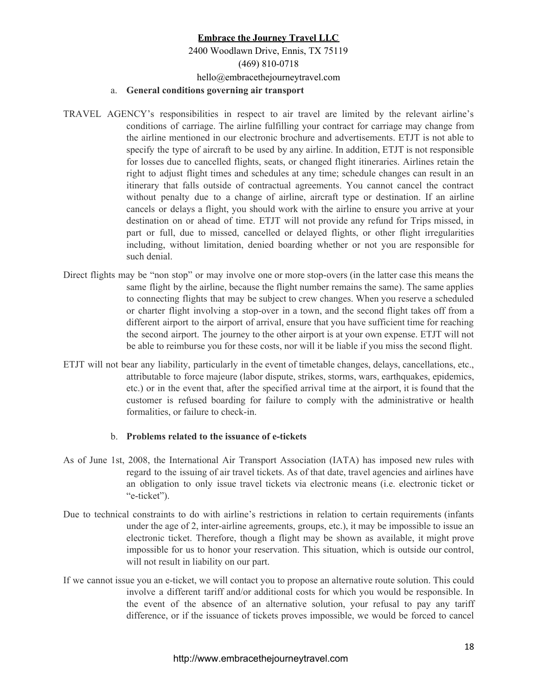# **Embrace the Journey Travel LLC** 2400 Woodlawn Drive, Ennis, TX 75119 (469) 810-0718 hello@embracethejourneytravel.com a. **General conditions governing air transport**

- TRAVEL AGENCY's responsibilities in respect to air travel are limited by the relevant airline's conditions of carriage. The airline fulfilling your contract for carriage may change from the airline mentioned in our electronic brochure and advertisements. ETJT is not able to specify the type of aircraft to be used by any airline. In addition, ETJT is not responsible for losses due to cancelled flights, seats, or changed flight itineraries. Airlines retain the right to adjust flight times and schedules at any time; schedule changes can result in an itinerary that falls outside of contractual agreements. You cannot cancel the contract without penalty due to a change of airline, aircraft type or destination. If an airline cancels or delays a flight, you should work with the airline to ensure you arrive at your destination on or ahead of time. ETJT will not provide any refund for Trips missed, in part or full, due to missed, cancelled or delayed flights, or other flight irregularities including, without limitation, denied boarding whether or not you are responsible for such denial.
- Direct flights may be "non stop" or may involve one or more stop-overs (in the latter case this means the same flight by the airline, because the flight number remains the same). The same applies to connecting flights that may be subject to crew changes. When you reserve a scheduled or charter flight involving a stop-over in a town, and the second flight takes off from a different airport to the airport of arrival, ensure that you have sufficient time for reaching the second airport. The journey to the other airport is at your own expense. ETJT will not be able to reimburse you for these costs, nor will it be liable if you miss the second flight.
- ETJT will not bear any liability, particularly in the event of timetable changes, delays, cancellations, etc., attributable to force majeure (labor dispute, strikes, storms, wars, earthquakes, epidemics, etc.) or in the event that, after the specified arrival time at the airport, it is found that the customer is refused boarding for failure to comply with the administrative or health formalities, or failure to check-in.

#### b. **Problems related to the issuance of e-tickets**

- As of June 1st, 2008, the International Air Transport Association (IATA) has imposed new rules with regard to the issuing of air travel tickets. As of that date, travel agencies and airlines have an obligation to only issue travel tickets via electronic means (i.e. electronic ticket or "e-ticket").
- Due to technical constraints to do with airline's restrictions in relation to certain requirements (infants under the age of 2, inter-airline agreements, groups, etc.), it may be impossible to issue an electronic ticket. Therefore, though a flight may be shown as available, it might prove impossible for us to honor your reservation. This situation, which is outside our control, will not result in liability on our part.
- If we cannot issue you an e-ticket, we will contact you to propose an alternative route solution. This could involve a different tariff and/or additional costs for which you would be responsible. In the event of the absence of an alternative solution, your refusal to pay any tariff difference, or if the issuance of tickets proves impossible, we would be forced to cancel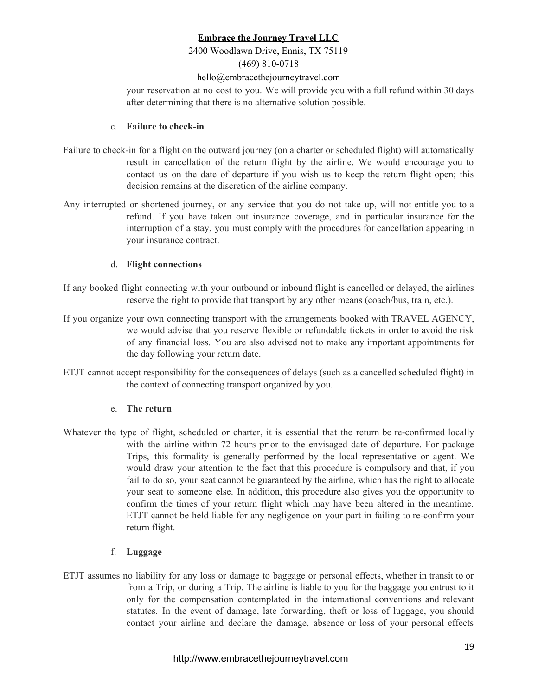### 2400 Woodlawn Drive, Ennis, TX 75119 (469) 810-0718

#### hello@embracethejourneytravel.com

your reservation at no cost to you. We will provide you with a full refund within 30 days after determining that there is no alternative solution possible.

#### c. **Failure to check-in**

- Failure to check-in for a flight on the outward journey (on a charter or scheduled flight) will automatically result in cancellation of the return flight by the airline. We would encourage you to contact us on the date of departure if you wish us to keep the return flight open; this decision remains at the discretion of the airline company.
- Any interrupted or shortened journey, or any service that you do not take up, will not entitle you to a refund. If you have taken out insurance coverage, and in particular insurance for the interruption of a stay, you must comply with the procedures for cancellation appearing in your insurance contract.

#### d. **Flight connections**

- If any booked flight connecting with your outbound or inbound flight is cancelled or delayed, the airlines reserve the right to provide that transport by any other means (coach/bus, train, etc.).
- If you organize your own connecting transport with the arrangements booked with TRAVEL AGENCY, we would advise that you reserve flexible or refundable tickets in order to avoid the risk of any financial loss. You are also advised not to make any important appointments for the day following your return date.
- ETJT cannot accept responsibility for the consequences of delays (such as a cancelled scheduled flight) in the context of connecting transport organized by you.

### e. **The return**

Whatever the type of flight, scheduled or charter, it is essential that the return be re-confirmed locally with the airline within 72 hours prior to the envisaged date of departure. For package Trips, this formality is generally performed by the local representative or agent. We would draw your attention to the fact that this procedure is compulsory and that, if you fail to do so, your seat cannot be guaranteed by the airline, which has the right to allocate your seat to someone else. In addition, this procedure also gives you the opportunity to confirm the times of your return flight which may have been altered in the meantime. ETJT cannot be held liable for any negligence on your part in failing to re-confirm your return flight.

### f. **Luggage**

ETJT assumes no liability for any loss or damage to baggage or personal effects, whether in transit to or from a Trip, or during a Trip. The airline is liable to you for the baggage you entrust to it only for the compensation contemplated in the international conventions and relevant statutes. In the event of damage, late forwarding, theft or loss of luggage, you should contact your airline and declare the damage, absence or loss of your personal effects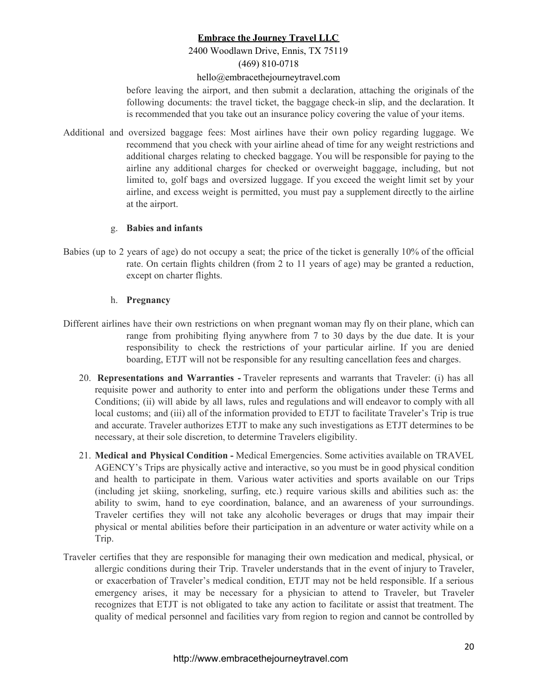## 2400 Woodlawn Drive, Ennis, TX 75119 (469) 810-0718

#### hello@embracethejourneytravel.com

before leaving the airport, and then submit a declaration, attaching the originals of the following documents: the travel ticket, the baggage check-in slip, and the declaration. It is recommended that you take out an insurance policy covering the value of your items.

Additional and oversized baggage fees: Most airlines have their own policy regarding luggage. We recommend that you check with your airline ahead of time for any weight restrictions and additional charges relating to checked baggage. You will be responsible for paying to the airline any additional charges for checked or overweight baggage, including, but not limited to, golf bags and oversized luggage. If you exceed the weight limit set by your airline, and excess weight is permitted, you must pay a supplement directly to the airline at the airport.

#### g. **Babies and infants**

Babies (up to 2 years of age) do not occupy a seat; the price of the ticket is generally 10% of the official rate. On certain flights children (from 2 to 11 years of age) may be granted a reduction, except on charter flights.

#### h. **Pregnancy**

- Different airlines have their own restrictions on when pregnant woman may fly on their plane, which can range from prohibiting flying anywhere from 7 to 30 days by the due date. It is your responsibility to check the restrictions of your particular airline. If you are denied boarding, ETJT will not be responsible for any resulting cancellation fees and charges.
	- 20. **Representations and Warranties -** Traveler represents and warrants that Traveler: (i) has all requisite power and authority to enter into and perform the obligations under these Terms and Conditions; (ii) will abide by all laws, rules and regulations and will endeavor to comply with all local customs; and (iii) all of the information provided to ETJT to facilitate Traveler's Trip is true and accurate. Traveler authorizes ETJT to make any such investigations as ETJT determines to be necessary, at their sole discretion, to determine Travelers eligibility.
	- 21. **Medical and Physical Condition -** Medical Emergencies. Some activities available on TRAVEL AGENCY's Trips are physically active and interactive, so you must be in good physical condition and health to participate in them. Various water activities and sports available on our Trips (including jet skiing, snorkeling, surfing, etc.) require various skills and abilities such as: the ability to swim, hand to eye coordination, balance, and an awareness of your surroundings. Traveler certifies they will not take any alcoholic beverages or drugs that may impair their physical or mental abilities before their participation in an adventure or water activity while on a Trip.
- Traveler certifies that they are responsible for managing their own medication and medical, physical, or allergic conditions during their Trip. Traveler understands that in the event of injury to Traveler, or exacerbation of Traveler's medical condition, ETJT may not be held responsible. If a serious emergency arises, it may be necessary for a physician to attend to Traveler, but Traveler recognizes that ETJT is not obligated to take any action to facilitate or assist that treatment. The quality of medical personnel and facilities vary from region to region and cannot be controlled by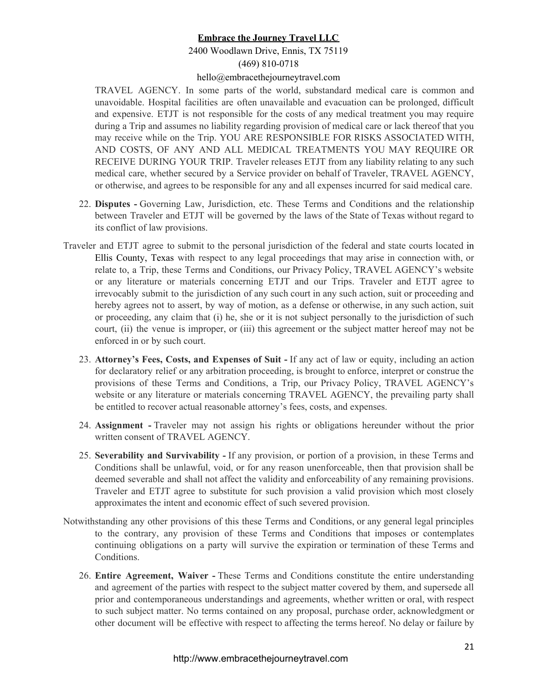# 2400 Woodlawn Drive, Ennis, TX 75119 (469) 810-0718

#### hello@embracethejourneytravel.com

TRAVEL AGENCY. In some parts of the world, substandard medical care is common and unavoidable. Hospital facilities are often unavailable and evacuation can be prolonged, difficult and expensive. ETJT is not responsible for the costs of any medical treatment you may require during a Trip and assumes no liability regarding provision of medical care or lack thereof that you may receive while on the Trip. YOU ARE RESPONSIBLE FOR RISKS ASSOCIATED WITH, AND COSTS, OF ANY AND ALL MEDICAL TREATMENTS YOU MAY REQUIRE OR RECEIVE DURING YOUR TRIP. Traveler releases ETJT from any liability relating to any such medical care, whether secured by a Service provider on behalf of Traveler, TRAVEL AGENCY, or otherwise, and agrees to be responsible for any and all expenses incurred for said medical care.

- 22. **Disputes -** Governing Law, Jurisdiction, etc. These Terms and Conditions and the relationship between Traveler and ETJT will be governed by the laws of the State of Texas without regard to its conflict of law provisions.
- Traveler and ETJT agree to submit to the personal jurisdiction of the federal and state courts located in Ellis County, Texas with respect to any legal proceedings that may arise in connection with, or relate to, a Trip, these Terms and Conditions, our Privacy Policy, TRAVEL AGENCY's website or any literature or materials concerning ETJT and our Trips. Traveler and ETJT agree to irrevocably submit to the jurisdiction of any such court in any such action, suit or proceeding and hereby agrees not to assert, by way of motion, as a defense or otherwise, in any such action, suit or proceeding, any claim that (i) he, she or it is not subject personally to the jurisdiction of such court, (ii) the venue is improper, or (iii) this agreement or the subject matter hereof may not be enforced in or by such court.
	- 23. **Attorney's Fees, Costs, and Expenses of Suit -** If any act of law or equity, including an action for declaratory relief or any arbitration proceeding, is brought to enforce, interpret or construe the provisions of these Terms and Conditions, a Trip, our Privacy Policy, TRAVEL AGENCY's website or any literature or materials concerning TRAVEL AGENCY, the prevailing party shall be entitled to recover actual reasonable attorney's fees, costs, and expenses.
	- 24. **Assignment -** Traveler may not assign his rights or obligations hereunder without the prior written consent of TRAVEL AGENCY.
	- 25. **Severability and Survivability -** If any provision, or portion of a provision, in these Terms and Conditions shall be unlawful, void, or for any reason unenforceable, then that provision shall be deemed severable and shall not affect the validity and enforceability of any remaining provisions. Traveler and ETJT agree to substitute for such provision a valid provision which most closely approximates the intent and economic effect of such severed provision.
- Notwithstanding any other provisions of this these Terms and Conditions, or any general legal principles to the contrary, any provision of these Terms and Conditions that imposes or contemplates continuing obligations on a party will survive the expiration or termination of these Terms and Conditions.
	- 26. **Entire Agreement, Waiver -** These Terms and Conditions constitute the entire understanding and agreement of the parties with respect to the subject matter covered by them, and supersede all prior and contemporaneous understandings and agreements, whether written or oral, with respect to such subject matter. No terms contained on any proposal, purchase order, acknowledgment or other document will be effective with respect to affecting the terms hereof. No delay or failure by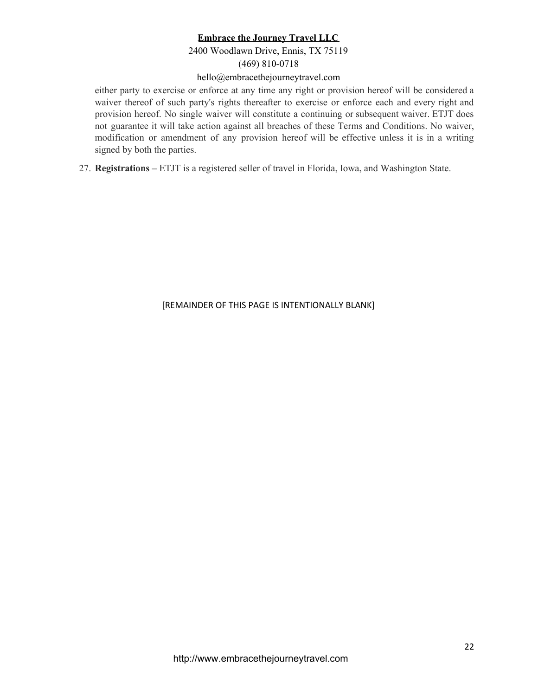# 2400 Woodlawn Drive, Ennis, TX 75119

# (469) 810-0718

### hello@embracethejourneytravel.com

either party to exercise or enforce at any time any right or provision hereof will be considered a waiver thereof of such party's rights thereafter to exercise or enforce each and every right and provision hereof. No single waiver will constitute a continuing or subsequent waiver. ETJT does not guarantee it will take action against all breaches of these Terms and Conditions. No waiver, modification or amendment of any provision hereof will be effective unless it is in a writing signed by both the parties.

27. **Registrations –** ETJT is a registered seller of travel in Florida, Iowa, and Washington State.

[REMAINDER OF THIS PAGE IS INTENTIONALLY BLANK]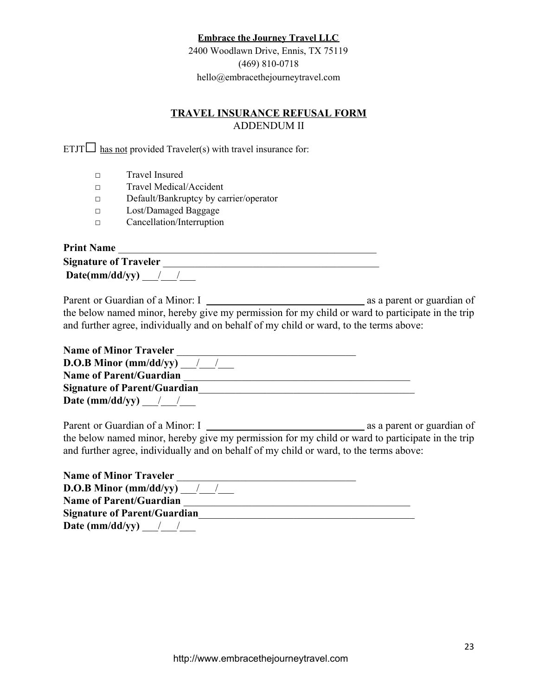2400 Woodlawn Drive, Ennis, TX 75119 (469) 810-0718 hello@embracethejourneytravel.com

# **TRAVEL INSURANCE REFUSAL FORM** ADDENDUM II

ETJT $\square$  has not provided Traveler(s) with travel insurance for:

- □ Travel Insured
- □ Travel Medical/Accident
- □ Default/Bankruptcy by carrier/operator
- □ Lost/Damaged Baggage
- □ Cancellation/Interruption

| <b>Print Name</b>             |  |
|-------------------------------|--|
| <b>Signature of Traveler</b>  |  |
| $\textbf{Date}(mm/dd/yy)$ / / |  |

Parent or Guardian of a Minor: I as a parent or guardian of the below named minor, hereby give my permission for my child or ward to participate in the trip and further agree, individually and on behalf of my child or ward, to the terms above:

| <b>Name of Minor Traveler</b>       |  |
|-------------------------------------|--|
| <b>D.O.B Minor (mm/dd/yy)</b> / /   |  |
| <b>Name of Parent/Guardian</b>      |  |
| <b>Signature of Parent/Guardian</b> |  |
| Date (mm/dd/yy) $\frac{1}{2}$       |  |

Parent or Guardian of a Minor: I as a parent or guardian of the below named minor, hereby give my permission for my child or ward to participate in the trip and further agree, individually and on behalf of my child or ward, to the terms above:

| <b>Name of Minor Traveler</b>       |  |
|-------------------------------------|--|
| <b>D.O.B Minor (mm/dd/yy)</b> / /   |  |
| <b>Name of Parent/Guardian</b>      |  |
| <b>Signature of Parent/Guardian</b> |  |
| Date (mm/dd/yy) $\frac{1}{2}$       |  |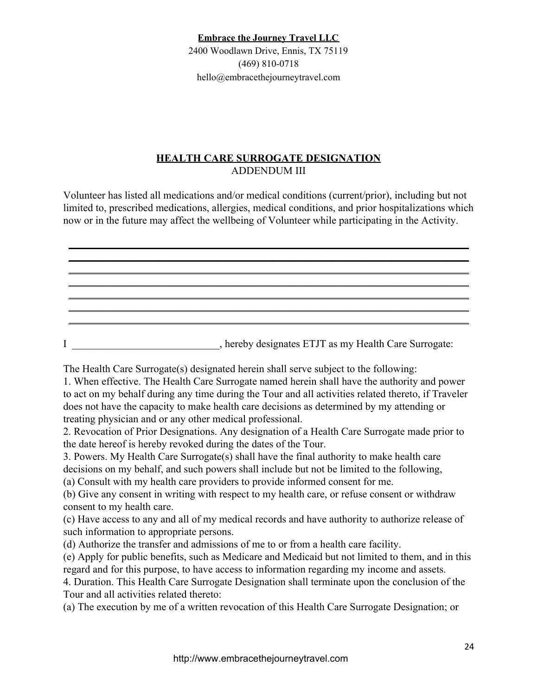2400 Woodlawn Drive, Ennis, TX 75119 (469) 810-0718 hello@embracethejourneytravel.com

# **HEALTH CARE SURROGATE DESIGNATION** ADDENDUM III

Volunteer has listed all medications and/or medical conditions (current/prior), including but not limited to, prescribed medications, allergies, medical conditions, and prior hospitalizations which now or in the future may affect the wellbeing of Volunteer while participating in the Activity.

\_\_\_\_\_\_\_\_\_\_\_\_\_\_\_\_\_\_\_\_\_\_\_\_\_\_\_\_\_\_\_\_\_\_\_\_\_\_\_\_\_\_\_\_\_\_\_\_\_\_\_\_\_\_\_\_\_\_\_\_\_\_\_\_\_\_\_\_\_\_\_\_\_\_\_\_ \_\_\_\_\_\_\_\_\_\_\_\_\_\_\_\_\_\_\_\_\_\_\_\_\_\_\_\_\_\_\_\_\_\_\_\_\_\_\_\_\_\_\_\_\_\_\_\_\_\_\_\_\_\_\_\_\_\_\_\_\_\_\_\_\_\_\_\_\_\_\_\_\_\_\_\_ \_\_\_\_\_\_\_\_\_\_\_\_\_\_\_\_\_\_\_\_\_\_\_\_\_\_\_\_\_\_\_\_\_\_\_\_\_\_\_\_\_\_\_\_\_\_\_\_\_\_\_\_\_\_\_\_\_\_\_\_\_\_\_\_\_\_\_\_\_\_\_\_\_\_\_\_ \_\_\_\_\_\_\_\_\_\_\_\_\_\_\_\_\_\_\_\_\_\_\_\_\_\_\_\_\_\_\_\_\_\_\_\_\_\_\_\_\_\_\_\_\_\_\_\_\_\_\_\_\_\_\_\_\_\_\_\_\_\_\_\_\_\_\_\_\_\_\_\_\_\_\_\_ \_\_\_\_\_\_\_\_\_\_\_\_\_\_\_\_\_\_\_\_\_\_\_\_\_\_\_\_\_\_\_\_\_\_\_\_\_\_\_\_\_\_\_\_\_\_\_\_\_\_\_\_\_\_\_\_\_\_\_\_\_\_\_\_\_\_\_\_\_\_\_\_\_\_\_\_ \_\_\_\_\_\_\_\_\_\_\_\_\_\_\_\_\_\_\_\_\_\_\_\_\_\_\_\_\_\_\_\_\_\_\_\_\_\_\_\_\_\_\_\_\_\_\_\_\_\_\_\_\_\_\_\_\_\_\_\_\_\_\_\_\_\_\_\_\_\_\_\_\_\_\_\_

\_\_\_\_\_\_\_\_\_\_\_\_\_\_\_\_\_\_\_\_\_\_\_\_\_\_\_\_\_\_\_\_\_\_\_\_\_\_\_\_\_\_\_\_\_\_\_\_\_\_\_\_\_\_\_\_\_\_\_\_\_\_\_\_\_\_\_\_\_\_\_\_\_\_\_\_ I \_\_\_\_\_\_\_\_\_\_\_\_\_\_\_\_\_\_\_\_\_\_\_\_\_\_\_\_, hereby designates ETJT as my Health Care Surrogate:

The Health Care Surrogate(s) designated herein shall serve subject to the following:

1. When effective. The Health Care Surrogate named herein shall have the authority and power to act on my behalf during any time during the Tour and all activities related thereto, if Traveler does not have the capacity to make health care decisions as determined by my attending or treating physician and or any other medical professional.

2. Revocation of Prior Designations. Any designation of a Health Care Surrogate made prior to the date hereof is hereby revoked during the dates of the Tour.

3. Powers. My Health Care Surrogate(s) shall have the final authority to make health care decisions on my behalf, and such powers shall include but not be limited to the following,

(a) Consult with my health care providers to provide informed consent for me.

(b) Give any consent in writing with respect to my health care, or refuse consent or withdraw consent to my health care.

(c) Have access to any and all of my medical records and have authority to authorize release of such information to appropriate persons.

(d) Authorize the transfer and admissions of me to or from a health care facility.

(e) Apply for public benefits, such as Medicare and Medicaid but not limited to them, and in this regard and for this purpose, to have access to information regarding my income and assets.

4. Duration. This Health Care Surrogate Designation shall terminate upon the conclusion of the Tour and all activities related thereto:

(a) The execution by me of a written revocation of this Health Care Surrogate Designation; or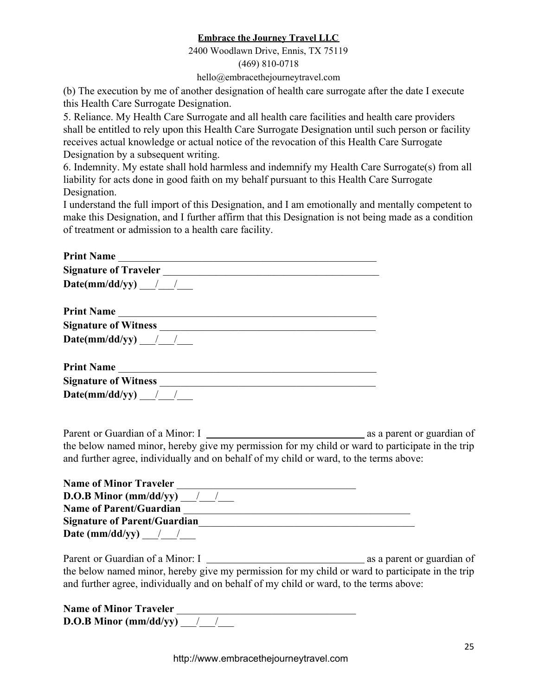2400 Woodlawn Drive, Ennis, TX 75119

(469) 810-0718

hello@embracethejourneytravel.com

(b) The execution by me of another designation of health care surrogate after the date I execute this Health Care Surrogate Designation.

5. Reliance. My Health Care Surrogate and all health care facilities and health care providers shall be entitled to rely upon this Health Care Surrogate Designation until such person or facility receives actual knowledge or actual notice of the revocation of this Health Care Surrogate Designation by a subsequent writing.

6. Indemnity. My estate shall hold harmless and indemnify my Health Care Surrogate(s) from all liability for acts done in good faith on my behalf pursuant to this Health Care Surrogate Designation.

I understand the full import of this Designation, and I am emotionally and mentally competent to make this Designation, and I further affirm that this Designation is not being made as a condition of treatment or admission to a health care facility.

| $\mathbf{Date}(mm/dd/yy)$ / /                                                                                                                                                              |  |
|--------------------------------------------------------------------------------------------------------------------------------------------------------------------------------------------|--|
|                                                                                                                                                                                            |  |
|                                                                                                                                                                                            |  |
| Date(mm/dd/yy) / /                                                                                                                                                                         |  |
|                                                                                                                                                                                            |  |
|                                                                                                                                                                                            |  |
| $\textbf{Date}(mm/dd/yy)$ / /                                                                                                                                                              |  |
|                                                                                                                                                                                            |  |
| the below named minor, hereby give my permission for my child or ward to participate in the trip<br>and further agree, individually and on behalf of my child or ward, to the terms above: |  |
| Name of Minor Traveler                                                                                                                                                                     |  |

| <b>Name of Minor Traveler</b>       |  |
|-------------------------------------|--|
| <b>D.O.B Minor (mm/dd/yy)</b> / /   |  |
| <b>Name of Parent/Guardian</b>      |  |
| <b>Signature of Parent/Guardian</b> |  |
| Date (mm/dd/yy) $\frac{1}{2}$       |  |

Parent or Guardian of a Minor: I as a parent or guardian of the below named minor, hereby give my permission for my child or ward to participate in the trip and further agree, individually and on behalf of my child or ward, to the terms above:

| <b>Name of Minor Traveler</b>   |  |
|---------------------------------|--|
| <b>D.O.B Minor (mm/dd/yy)</b> / |  |